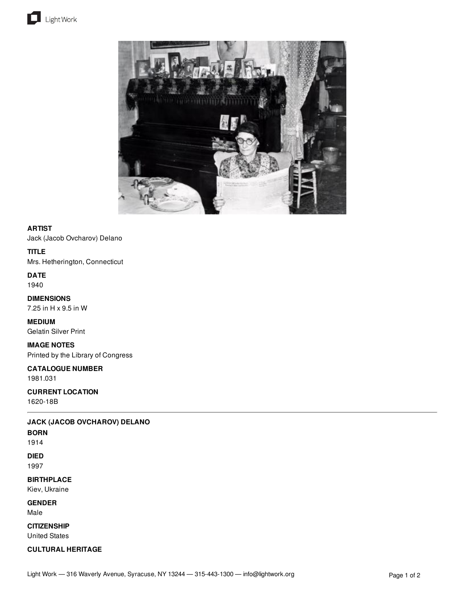



### **ARTIST**

Jack (Jacob Ovcharov) Delano

## **TITLE**

Mrs. Hetherington, Connecticut

**DATE** 1940

**DIMENSIONS** 7.25 in H x 9.5 in W

**MEDIUM** Gelatin Silver Print

# **IMAGE NOTES**

Printed by the Library of Congress

# **CATALOGUE NUMBER**

1981.031

#### **CURRENT LOCATION** 1620-18B

**JACK (JACOB OVCHAROV) DELANO**

### **BORN**

1914

## **DIED**

1997

### **BIRTHPLACE**

Kiev, Ukraine

## **GENDER**

Male

# **CITIZENSHIP**

United States

## **CULTURAL HERITAGE**